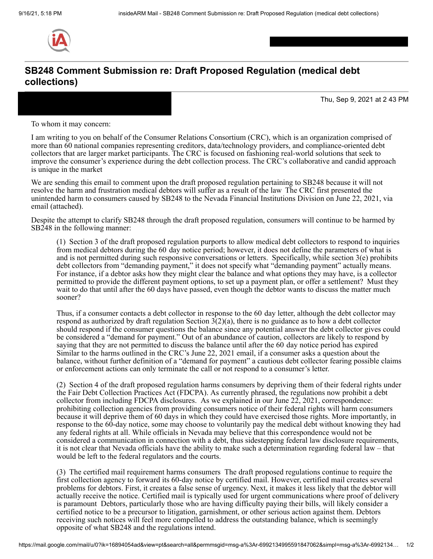

## **SB248 Comment Submission re: Draft Proposed Regulation (medical debt collections)**

Thu, Sep 9, 2021 at 2 43 PM

To whom it may concern:

I am writing to you on behalf of the Consumer Relations Consortium (CRC), which is an organization comprised of more than 60 national companies representing creditors, data/technology providers, and compliance-oriented debt collectors that are larger market participants. The CRC is focused on fashioning real-world solutions that seek to improve the consumer's experience during the debt collection process. The CRC's collaborative and candid approach is unique in the market

We are sending this email to comment upon the draft proposed regulation pertaining to SB248 because it will not resolve the harm and frustration medical debtors will suffer as a result of the law The CRC first presented the unintended harm to consumers caused by SB248 to the Nevada Financial Institutions Division on June 22, 2021, via email (attached).

Despite the attempt to clarify SB248 through the draft proposed regulation, consumers will continue to be harmed by SB248 in the following manner:

(1) Section 3 of the draft proposed regulation purports to allow medical debt collectors to respond to inquiries from medical debtors during the 60 day notice period; however, it does not define the parameters of what is and is not permitted during such responsive conversations or letters. Specifically, while section  $3(e)$  prohibits debt collectors from "demanding payment," it does not specify what "demanding payment" actually means. For instance, if a debtor asks how they might clear the balance and what options they may have, is a collector permitted to provide the different payment options, to set up a payment plan, or offer a settlement? Must they wait to do that until after the 60 days have passed, even though the debtor wants to discuss the matter much sooner?

Thus, if a consumer contacts a debt collector in response to the 60 day letter, although the debt collector may respond as authorized by draft regulation Section  $3(2)(a)$ , there is no guidance as to how a debt collector should respond if the consumer questions the balance since any potential answer the debt collector gives could be considered a "demand for payment." Out of an abundance of caution, collectors are likely to respond by saying that they are not permitted to discuss the balance until after the 60 day notice period has expired Similar to the harms outlined in the CRC's June 22, 2021 email, if a consumer asks a question about the balance, without further definition of a "demand for payment" a cautious debt collector fearing possible claims or enforcement actions can only terminate the call or not respond to a consumer's letter.

(2) Section 4 of the draft proposed regulation harms consumers by depriving them of their federal rights under the Fair Debt Collection Practices Act (FDCPA). As currently phrased, the regulations now prohibit a debt collector from including FDCPA disclosures. As we explained in our June 22, 2021, correspondence: prohibiting collection agencies from providing consumers notice of their federal rights will harm consumers because it will deprive them of 60 days in which they could have exercised those rights. More importantly, in response to the 60-day notice, some may choose to voluntarily pay the medical debt without knowing they had any federal rights at all. While officials in Nevada may believe that this correspondence would not be considered a communication in connection with a debt, thus sidestepping federal law disclosure requirements, it is not clear that Nevada officials have the ability to make such a determination regarding federal law – that would be left to the federal regulators and the courts.

(3) The certified mail requirement harms consumers The draft proposed regulations continue to require the first collection agency to forward its 60-day notice by certified mail. However, certified mail creates several problems for debtors. First, it creates a false sense of urgency. Next, it makes it less likely that the debtor will actually receive the notice. Certified mail is typically used for urgent communications where proof of delivery is paramount Debtors, particularly those who are having difficulty paying their bills, will likely consider a certified notice to be a precursor to litigation, garnishment, or other serious action against them. Debtors receiving such notices will feel more compelled to address the outstanding balance, which is seemingly opposite of what SB248 and the regulations intend.